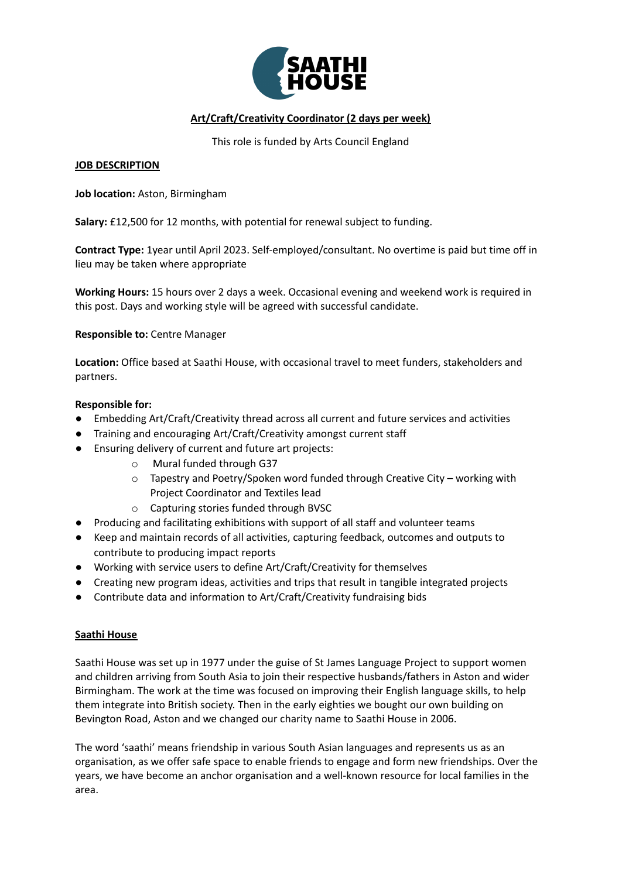

# **Art/Craft/Creativity Coordinator (2 days per week)**

This role is funded by Arts Council England

## **JOB DESCRIPTION**

**Job location:** Aston, Birmingham

**Salary:** £12,500 for 12 months, with potential for renewal subject to funding.

**Contract Type:** 1year until April 2023. Self-employed/consultant. No overtime is paid but time off in lieu may be taken where appropriate

**Working Hours:** 15 hours over 2 days a week. Occasional evening and weekend work is required in this post. Days and working style will be agreed with successful candidate.

**Responsible to:** Centre Manager

**Location:** Office based at Saathi House, with occasional travel to meet funders, stakeholders and partners.

## **Responsible for:**

- Embedding Art/Craft/Creativity thread across all current and future services and activities
- Training and encouraging Art/Craft/Creativity amongst current staff
- Ensuring delivery of current and future art projects:
	- o Mural funded through G37
	- o Tapestry and Poetry/Spoken word funded through Creative City working with Project Coordinator and Textiles lead
	- o Capturing stories funded through BVSC
- Producing and facilitating exhibitions with support of all staff and volunteer teams
- Keep and maintain records of all activities, capturing feedback, outcomes and outputs to contribute to producing impact reports
- Working with service users to define Art/Craft/Creativity for themselves
- Creating new program ideas, activities and trips that result in tangible integrated projects
- Contribute data and information to Art/Craft/Creativity fundraising bids

## **Saathi House**

Saathi House was set up in 1977 under the guise of St James Language Project to support women and children arriving from South Asia to join their respective husbands/fathers in Aston and wider Birmingham. The work at the time was focused on improving their English language skills, to help them integrate into British society. Then in the early eighties we bought our own building on Bevington Road, Aston and we changed our charity name to Saathi House in 2006.

The word 'saathi' means friendship in various South Asian languages and represents us as an organisation, as we offer safe space to enable friends to engage and form new friendships. Over the years, we have become an anchor organisation and a well-known resource for local families in the area.